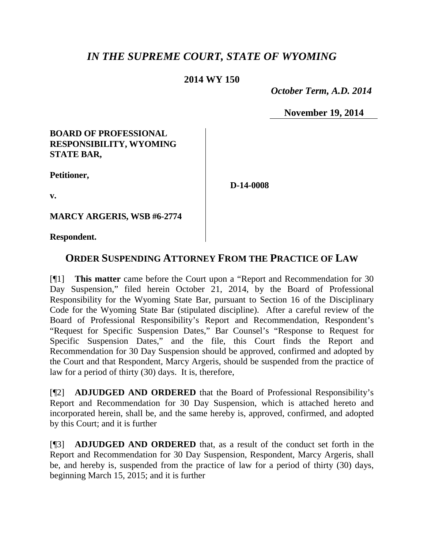# *IN THE SUPREME COURT, STATE OF WYOMING*

## **2014 WY 150**

 *October Term, A.D. 2014*

**November 19, 2014**

## **BOARD OF PROFESSIONAL RESPONSIBILITY, WYOMING STATE BAR,**

**Petitioner,**

**D-14-0008**

**v.**

**MARCY ARGERIS, WSB #6-2774**

**Respondent.**

# **ORDER SUSPENDING ATTORNEY FROM THE PRACTICE OF LAW**

[¶1] **This matter** came before the Court upon a "Report and Recommendation for 30 Day Suspension," filed herein October 21, 2014, by the Board of Professional Responsibility for the Wyoming State Bar, pursuant to Section 16 of the Disciplinary Code for the Wyoming State Bar (stipulated discipline). After a careful review of the Board of Professional Responsibility's Report and Recommendation, Respondent's "Request for Specific Suspension Dates," Bar Counsel's "Response to Request for Specific Suspension Dates," and the file, this Court finds the Report and Recommendation for 30 Day Suspension should be approved, confirmed and adopted by the Court and that Respondent, Marcy Argeris, should be suspended from the practice of law for a period of thirty (30) days. It is, therefore,

[¶2] **ADJUDGED AND ORDERED** that the Board of Professional Responsibility's Report and Recommendation for 30 Day Suspension, which is attached hereto and incorporated herein, shall be, and the same hereby is, approved, confirmed, and adopted by this Court; and it is further

[¶3] **ADJUDGED AND ORDERED** that, as a result of the conduct set forth in the Report and Recommendation for 30 Day Suspension, Respondent, Marcy Argeris, shall be, and hereby is, suspended from the practice of law for a period of thirty (30) days, beginning March 15, 2015; and it is further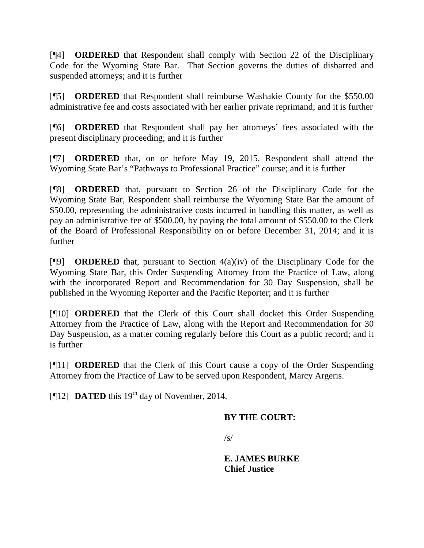[¶4] **ORDERED** that Respondent shall comply with Section 22 of the Disciplinary Code for the Wyoming State Bar. That Section governs the duties of disbarred and suspended attorneys; and it is further

[¶5] **ORDERED** that Respondent shall reimburse Washakie County for the \$550.00 administrative fee and costs associated with her earlier private reprimand; and it is further

[¶6] **ORDERED** that Respondent shall pay her attorneys' fees associated with the present disciplinary proceeding; and it is further

[¶7] **ORDERED** that, on or before May 19, 2015, Respondent shall attend the Wyoming State Bar's "Pathways to Professional Practice" course; and it is further

[¶8] **ORDERED** that, pursuant to Section 26 of the Disciplinary Code for the Wyoming State Bar, Respondent shall reimburse the Wyoming State Bar the amount of \$50.00, representing the administrative costs incurred in handling this matter, as well as pay an administrative fee of \$500.00, by paying the total amount of \$550.00 to the Clerk of the Board of Professional Responsibility on or before December 31, 2014; and it is further

[¶9] **ORDERED** that, pursuant to Section 4(a)(iv) of the Disciplinary Code for the Wyoming State Bar, this Order Suspending Attorney from the Practice of Law, along with the incorporated Report and Recommendation for 30 Day Suspension, shall be published in the Wyoming Reporter and the Pacific Reporter; and it is further

[¶10] **ORDERED** that the Clerk of this Court shall docket this Order Suspending Attorney from the Practice of Law, along with the Report and Recommendation for 30 Day Suspension, as a matter coming regularly before this Court as a public record; and it is further

[¶11] **ORDERED** that the Clerk of this Court cause a copy of the Order Suspending Attorney from the Practice of Law to be served upon Respondent, Marcy Argeris.

[ $[12]$  **DATED** this 19<sup>th</sup> day of November, 2014.

## **BY THE COURT:**

 $\sqrt{s}$ 

**E. JAMES BURKE Chief Justice**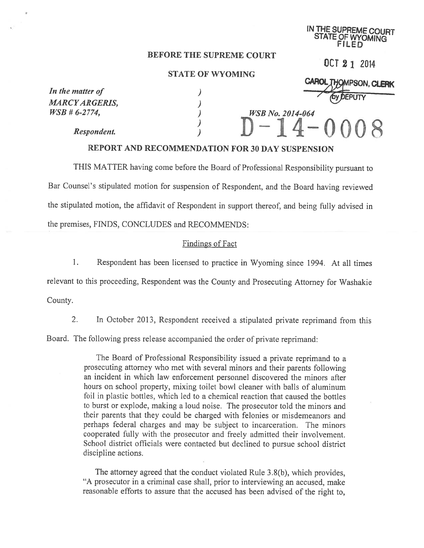## IN THE SUPREME COURT STATE OF WYOMING FILED

OCT 2 1 2014

(HOMPSON, CLERK

### BEFORE THE SUPREME COURT

#### STATE OF WYOMING

In the matter of  $\qquad \qquad$ )  $MARCYARGERIS,$ <br>  $WSB # 6-2774,$ 

Respondent.

 $\frac{WSB \ No. \ 2014-064}{\ }$  $-14-$ 

## REPORT AND RECOMMENDATION FOR 30 DAY SUSPENSION

THIS MATTER having come before the Board of Professional Responsibility pursuan<sup>t</sup> to Bar Counsel's stipulated motion for suspension of Respondent, and the Board having reviewed the stipulated motion, the affidavit of Respondent in suppor<sup>t</sup> thereof, and being fuliy advised in the premises, FINDS, CONCLUDES and RECOMMENDS:

## Findings of Fact

1. Respondent has been licensed to practice in Wyoming since 1994. At all times relevant to this proceeding, Respondent was the County and Prosecuting Attorney for Washakie County.

2. In October 2013, Respondent received a stipulated private reprimand from this

Board. The following press release accompanied the order of private reprimand:

The Board of Professional Responsibility issued <sup>a</sup> private reprimand to <sup>a</sup> prosecuting attorney who met with several minors and their parents following an incident in which law enforcement personnel discovered the minors after hours on school property, mixing toilet bowl cleaner with balls of aluminum foil in plastic bottles, which led to <sup>a</sup> chemical reaction that caused the bottles to burst or explode, making <sup>a</sup> loud noise. The prosecutor told the minors and their parents that they could be charged with felonies or misdemeanors and perhaps federal charges and may be subject to incarceration. The minors cooperated fully with the prosecutor and freely admitted their involvement. School district officials were contacted but declined to pursue school district discipline actions.

The attorney agree<sup>d</sup> that the conduct violated Rule 3.8(b), which provides, "A prosecutor in <sup>a</sup> criminal case shall, prior to interviewing an accused, make reasonable efforts to assure that the accused has been advised of the right to,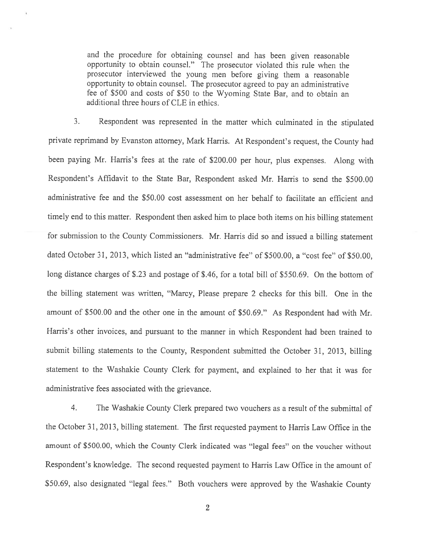and the procedure for obtaining counsel and has been <sup>g</sup>iven reasonable opportunity to obtain counsel." The prosecutor violated this rule when the prosecutor interviewed the young men before <sup>g</sup>iving them <sup>a</sup> reasonable opportunity to obtain counsel. The prosecutor agree<sup>d</sup> to pay an administrative fee of \$500 and costs of \$50 to the Wyoming State Bar, and to obtain an additional three hours of CLE in ethics.

3. Respondent was represented in the matter which culminated in the stipulated private reprimand by Evanston attorney, Mark Harris. At Respondent's request, the County had been paying Mr. Harris's fees at the rate of \$200.00 per hour, <sup>p</sup>lus expenses. Along with Respondent's Affidavit to the State Bar, Respondent asked Mr. Harris to send the \$500.00 administrative fee and the \$50.00 cost assessment on her behalf to facilitate an efficient and timely end to this matter. Respondent then asked him to <sup>p</sup>lace both items on his billing statement for submission to the County Commissioners. Mr. Harris did so and issued <sup>a</sup> billing statement dated October 31, 2013, which listed an "administrative fee" of \$500.00, <sup>a</sup> "cost fee" of \$50.00, long distance charges of \$.23 and postage of \$.46, for a total bill of \$550.69. On the bottom of the billing statement was written, "Marcy, Please prepare <sup>2</sup> checks for this bill. One in the amount of \$500.00 and the other one in the amount of \$50.69." As Respondent had with Mr. Harris's other invoices, and pursuan<sup>t</sup> to the manner in which Respondent had been trained to submit billing statements to the County, Respondent submitted the October 31, 2013, billing statement to the Washakie County Clerk for payment, and explained to her that it was for administrative fees associated with the grievance.

4. The Washakie County Clerk prepared two vouchers as <sup>a</sup> result of the submittal of the October 31, 2013, billing statement. The first requested paymen<sup>t</sup> to Harris Law Office in the amount of \$500.00, which the County Clerk indicated was "legal fees" on the voucher without Respondent's knowledge. The second requested paymen<sup>t</sup> to Harris Law Office in the amount of \$50.69, also designated "legal fees." Both vouchers were approve<sup>d</sup> by the Washakie County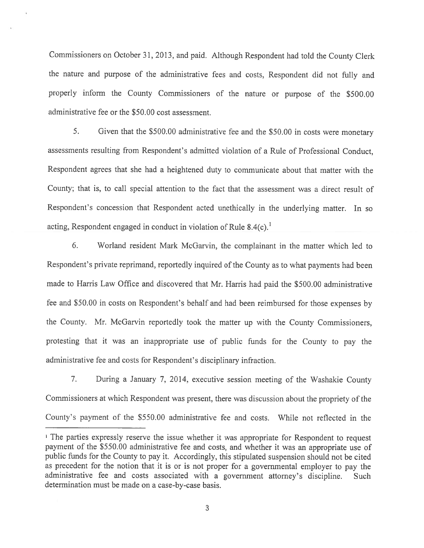Commissioners on October 31, 2013, and paid. Although Respondent had told the County Clerk the nature and purpose of the administrative fees and costs, Respondent did not fully and properly inform the County Commissioners of the nature or purpose of the \$500.00 administrative fee or the \$50.00 cost assessment.

5. Given that the \$500.00 administrative fee and the \$50.00 in costs were monetary assessments resulting from Respondent's admitted violation of <sup>a</sup> Rule of Professional Conduct, Respondent agrees that she had <sup>a</sup> heightened duty to communicate about that matter with the County; that is, to call special attention to the fact that the assessment was <sup>a</sup> direct result of Respondent's concession that Respondent acted unethically in the underlying matter. In so acting, Respondent engaged in conduct in violation of Rule  $8.4(c)$ <sup>1</sup>

6. Worland resident Mark McGarvin, the complainant in the matter which led to Respondent's private reprimand, reportedly inquired of the County as to what payments had been made to Harris Law Office and discovered that Mr. Harris had paid the \$500.00 administrative fee and \$50.00 in costs on Respondent's behalf and had been reimbursed for those expenses by the County. Mr. McGarvin reportedly took the matter up with the County Commissioners, protesting that it was an inappropriate use of public funds for the County to pay the administrative fee and costs for Respondent's disciplinary infraction.

7. During <sup>a</sup> January 7, 2014. executive session meeting of the Washakie County Commissioners at which Respondent was present, there was discussion about the propriety of the County's paymen<sup>t</sup> of the \$550.00 administrative fee and costs. While not reflected in the

<sup>&</sup>lt;sup>1</sup> The parties expressly reserve the issue whether it was appropriate for Respondent to request paymen<sup>t</sup> of the \$550.00 administrative fee and costs, and whether it was an appropriate use of public funds for the County to pay it. Accordingly, this stipulated suspension should not be cited as precedent for the notion that it is or is not proper for <sup>a</sup> governmental employer to pay the administrative fee and costs associated with <sup>a</sup> governmen<sup>t</sup> attorney's discipline. Such determination must be made on <sup>a</sup> case-by-case basis.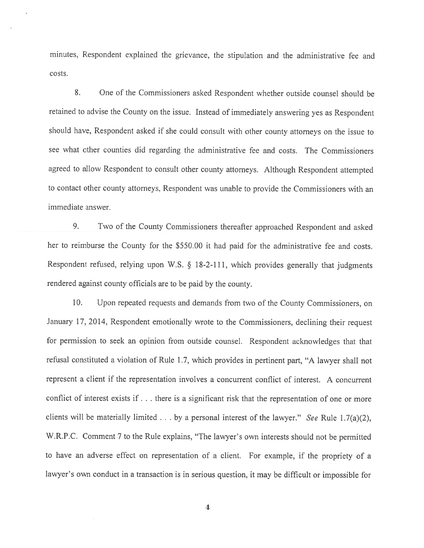minutes. Respondent explained the grievance, the stipulation and the administrative fee and costs.

8. One of the Commissioners asked Respondent whether outside counsel should be retained to advise the County on the issue. Instead of immediately answering yes as Respondent should have. Respondent asked if she could consult with other county attorneys on the issue to see what other counties did regarding the administrative fee and costs. The Commissioners agree<sup>d</sup> to allow Respondent to consult other county attorneys. Although Respondent attempted to contact other county attorneys, Respondent was unable to provide the Commissioners with an immediate answer.

9. Two of the County Commissioners thereafter approached Respondent and asked her to reimburse the County for the \$550.00 it had paid for the administrative fee and costs. Respondent refused, relying upon W.S. § 18-2-111, which provides generally that judgments rendered against county officials are to be paid by the county.

10. Upon repeated requests and demands from two of the County Commissioners, on January 17, 2014, Respondent emotionally wrote to the Commissioners, declining their reques<sup>t</sup> for permission to seek an opinion from outside counsel. Respondent acknowledges that that refusal constituted <sup>a</sup> violation of Rule 1.7, which provides in pertinent part, "A lawyer shall not represen<sup>t</sup> <sup>a</sup> client if the representation involves <sup>a</sup> concurrent conflict of interest. A concurrent conflict of interest exists if. . . there is <sup>a</sup> significant risk that the representation of one or more clients will be materially limited  $\ldots$  by a personal interest of the lawyer." See Rule 1.7(a)(2), W.R.P.C. Comment <sup>7</sup> to the Rule explains, "The lawyer's own interests should not be permitted to have an adverse effect on representation of <sup>a</sup> client. For example, if the propriety of <sup>a</sup> lawyer's own conduct in <sup>a</sup> transaction is in serious question, it may be difficult or impossible for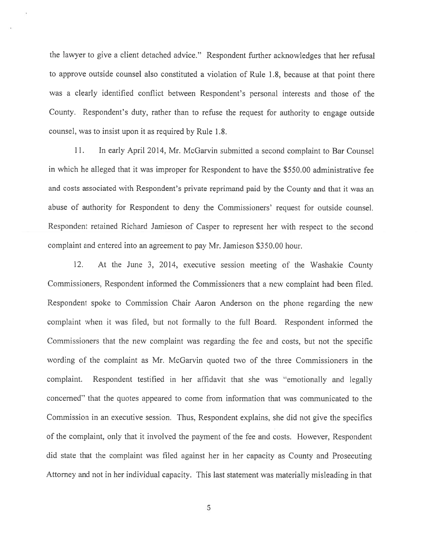the lawyer to <sup>g</sup>ive <sup>a</sup> client detached advice." Respondent further acknowledges that her refusal to approve outside counsel also constituted <sup>a</sup> violation of Rule 1.8, because at that point there was <sup>a</sup> clearly identified conflict between Respondent's personal interests and those of the County. Respondent's duty, rather than to refuse the reques<sup>t</sup> for authority to engage outside counsel, was to insist upon it as required by Rule <sup>1</sup> .8.

11. In early April 2014, Mr. McGarvin submitted <sup>a</sup> second complaint to Bar Counsel in which he alleged that it was improper for Respondent to have the \$550.00 administrative fee and costs associated with Respondent's private reprimand paid by the County and that it was an abuse of authority for Respondent to deny the Commissioners' reques<sup>t</sup> for outside counsel. Respondent retained Richard Jamieson of Casper to represen<sup>t</sup> her with respec<sup>t</sup> to the second complaint and entered into an agreemen<sup>t</sup> to pay Mr. Jamieson \$350.00 hour.

12. At the June 3, 2014, executive session meeting of the Washakie County Commissioners, Respondent informed the Commissioners that <sup>a</sup> new complaint had been filed. Respondent spoke to Commission Chair Aaron Anderson on the phone regarding the new complaint when it was filed, but not formally to the full Board. Respondent informed the Commissioners that the new complaint was regarding the fee and costs, but not the specific wording of the complaint as Mr. McGarvin quoted two of the three Commissioners in the complaint. Respondent testified in her affidavit that she was "emotionally and legally concerned" that the quotes appeared to come from information that was communicated to the Commission in an executive session. Thus, Respondent explains, she did not give the specifics of the complaint, only that it involved the paymen<sup>t</sup> of the fee and costs. However, Respondent did state that the complaint was filed against her in her capacity as County and Prosecuting Attorney and not in her individual capacity. This last statement was materially misleading in that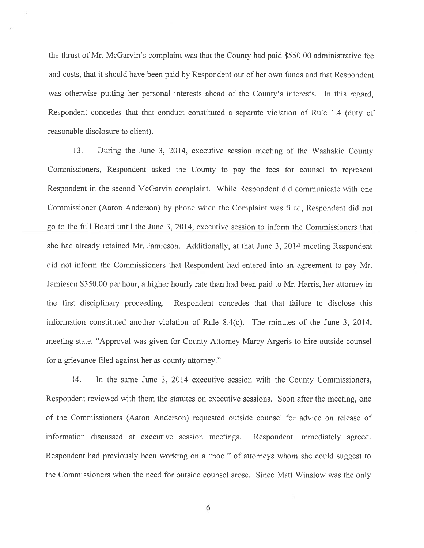the thrust of Mr. McGarvin's complaint was that the County had paid \$550.00 administrative fee and costs, that it should have been paid by Respondent out of her own funds and that Respondent was otherwise putting her persona<sup>l</sup> interests ahead of the County's interests. In this regard, Respondent concedes that that conduct constituted <sup>a</sup> separate violation of Rule 1.4 (duty of reasonable disclosure to client).

13. During the June 3, 2014, executive session meeting of the Washakie County Commissioners, Respondent asked the County to pay the fees for counsel to represen<sup>t</sup> Respondent in the second McGarvin complaint. While Respondent did communicate with one Commissioner (Aaron Anderson) by phone when the Complaint was filed, Respondent did not go to the full Board until the June 3, 2014, executive session to inform the Commissioners that she had already retained Mr. Jamieson. Additionally, at that June 3, 2014 meeting Respondent did not inform the Commissioners that Respondent had entered into an agreemen<sup>t</sup> to pay Mr. Jamieson \$350.00 per hour, <sup>a</sup> higher hourly rate than had been paid to Mr. Harris, her attorney in the first disciplinary proceeding. Respondent concedes that that failure to disclose this information constituted another violation of Rule 8.4(c). The minutes of the June 3, 2014, meeting state, "Approval was given for County Attorney Marcy Argeris to hire outside counsel for <sup>a</sup> grievance filed against her as county attorney."

14. In the same June 3, 2014 executive session with the County Commissioners, Respondent reviewed with them the statutes on executive sessions. Soon after the meeting, one of the Commissioners (Aaron Anderson) requested outside counsel for advice on release of information discussed at executive session meetings. Respondent immediately agreed. Respondent had previously been working on <sup>a</sup> "pooi" of attorneys whom she could sugges<sup>t</sup> to the Commissioners when the need for outside counsel arose. Since Matt Winslow was the only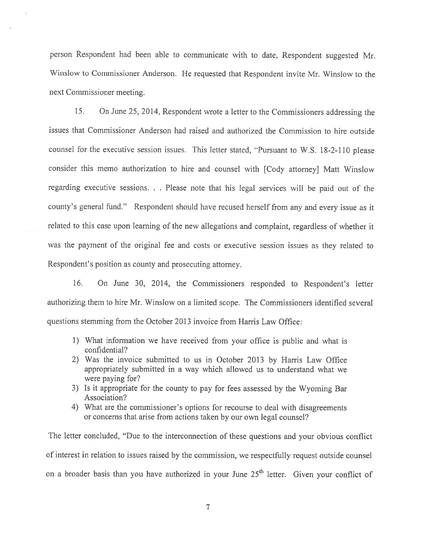person Respondent had been able to communicate with to date. Respondent suggested Mr. Winslow to Commissioner Anderson. He requested that Respondent invite Mr. Winslow to the next Commissioner meeting.

15. On June 25, 2014, Respondent wrote <sup>a</sup> letter to the Commissioners addressing the issues that Commissioner Anderson had raised and authorized the Commission to hire outside counsel for the executive session issues. This letter stated, "Pursuant to W.S. 18-2-110 please consider this memo authorization to hire and counsel with [Cody attorney] Matt Winslow regarding executive sessions. . . Please note that his legal services will be paid out of the county's genera<sup>l</sup> fund." Respondent should have recused herself from any and every issue as it related to this case upon learning of the new allegations and complaint, regardless of whether it was the paymen<sup>t</sup> of the original fee and costs or executive session issues as they related to Respondent's position as county and prosecuting attorney.

16. On June 30, 2014, the Commissioners responded to Respondent's letter authorizing them to hire Mr. Winslow on <sup>a</sup> limited scope. The Commissioners identified several questions stemming from the October 2013 invoice from Harris Law Office:

- 1) What information we have received from your office is public and what is confidential?
- 2) Was the invoice submitted to us in October <sup>2013</sup> by Harris Law Office appropriately submitted in <sup>a</sup> way which allowed us to understand what we were paying for?
- 3) Is it appropriate for the county to pay for fees assessed by the Wyoming Bar Association?
- 4) What are the commissioner's options for recourse to deal with disagreements or concerns that arise from actions taken by our own legal counsel?

The letter concluded, "Due to the interconnection of these questions and your obvious conflict of interest in relation to issues raised by the commission, we respectfully request outside counsel on a broader basis than you have authorized in your June  $25<sup>th</sup>$  letter. Given your conflict of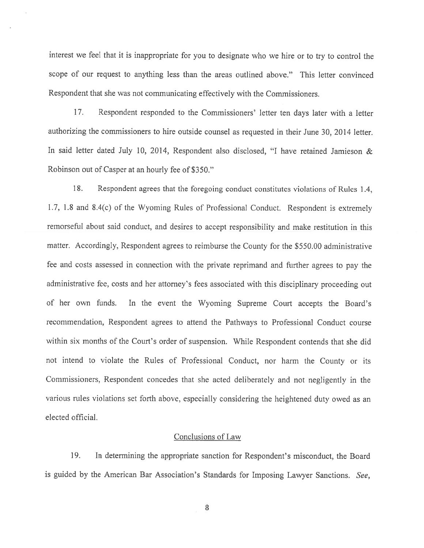interest we feel that it is inappropriate for you to designate who we hire or to try to control the scope of our reques<sup>t</sup> to anything less than the areas outlined above." This letter convinced Respondent that she was not communicating effectively with the Commissioners.

17. Respondent responded to the Commissioners' letter ten days later with <sup>a</sup> letter authorizing the commissioners to hire outside counsel as requested in their June 30, 2014 letter. In said letter dated July 10, 2014, Respondent also disclosed, "I have retained Jamieson & Robinson out of Casper at an hourly fee of \$350."

18. Respondent agrees that the foregoing conduct constitutes violations of Rules 1.4, 1.7, 1.8 and 8.4(c) of the Wyoming Rules of Professional Conduct. Respondent is extremely remorseful about said conduct, and desires to accep<sup>t</sup> responsibility and make restitution in this matter. Accordingly, Respondent agrees to reimburse the County for the \$550.00 administrative fee and costs assessed in cormection with the private reprimand and further agrees to pay the administrative fee, costs and her attorney's fees associated with this disciplinary proceeding out of her own funds. In the event the Wyoming Supreme Court accepts the Board's recommendation, Respondent agrees to attend the Pathways to Professional Conduct course within six months of the Court's order of suspension. While Respondent contends that she did not intend to violate the Rules of Professional Conduct, nor harm the County or its Commissioners, Respondent concedes that she acted deliberately and not negligently in the various rules violations set forth above, especially considering the heightened duty owed as an elected official.

#### Conclusions of Law

19. In determining the appropriate sanction for Respondent's misconduct, the Board is guided by the American Bar Association's Standards for Imposing Lawyer Sanctions. See,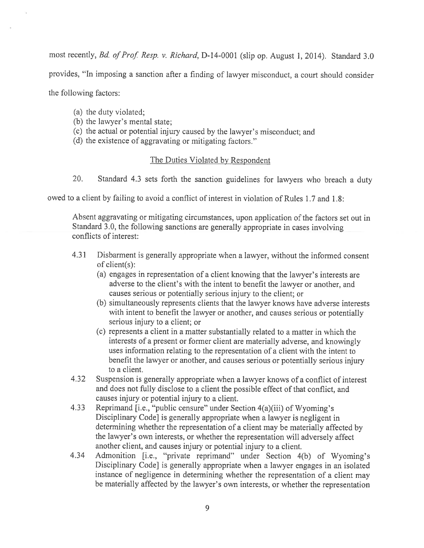most recently, Bd. of Prof. Resp. v. Richard, D-14-0001 (slip op. August 1, 2014). Standard 3.0 provides, "In imposing <sup>a</sup> sanction after <sup>a</sup> finding of lawyer misconduct, <sup>a</sup> court should consider the following factors:

- (a) the duty violated;
- (b) the lawyer's mental state;
- (c) the actual or potential injury caused by the lawyer's misconduct; and
- (d) the existence of aggravating or mitigating factors."

## The Duties Violated by Respondent

20. Standard 4.3 sets forth the sanction guidelines for lawyers who breach <sup>a</sup> duty

owed to <sup>a</sup> client by failing to avoid <sup>a</sup> conflict of interest in violation of Rules 1.7 and 1.8:

Absent aggravating or mitigating circumstances, upon application of the factors set out in Standard 3.0, the following sanctions are generally appropriate in cases involving conflicts of interest:

- 4.31 Disbarment is generally appropriate when <sup>a</sup> lawyer, without the informed consent of client(s):
	- (a) engages in representation of <sup>a</sup> client knowing that the lawyer's interests are adverse to the client's with the intent to benefit the lawyer or another, and causes serious or potentially serious injury to the client; or
	- (b) simultaneously represents clients that the lawyer knows have adverse interests with intent to benefit the lawyer or another, and causes serious or potentially serious injury to <sup>a</sup> client; or
	- (c) represents <sup>a</sup> client in <sup>a</sup> matter substantially related to <sup>a</sup> matter in which the interests of <sup>a</sup> presen<sup>t</sup> or former client are materially adverse, and knowingly uses information relating to the representation of <sup>a</sup> client with the intent to benefit the lawyer or another, and causes serious or potentially serious injury to <sup>a</sup> client.
- 4.32 Suspension is generally appropriate when <sup>a</sup> lawyer knows of <sup>a</sup> conflict of interest and does not fully disclose to <sup>a</sup> client the possible effect of that conflict, and causes injury or potential injury to <sup>a</sup> client.
- 4.33 Reprimand [i.e., "public censure" under Section 4(a)(iii) of Wyoming's Disciplinary Code] is generally appropriate when <sup>a</sup> lawyer is negligent in determining whether the representation of <sup>a</sup> client may be materially affected by the lawyer's own interests, or whether the representation will adversely affect another client, and causes injury or potential injury to <sup>a</sup> client.
- 4.34 Admonition [i.e., "private reprimand" under Section 4(b) of Wyoming's Disciplinary Code] is generally appropriate when <sup>a</sup> lawyer engages in an isolated instance of negligence in determining whether the representation of <sup>a</sup> client may be materially affected by the lavyer's own interests, or whether the representation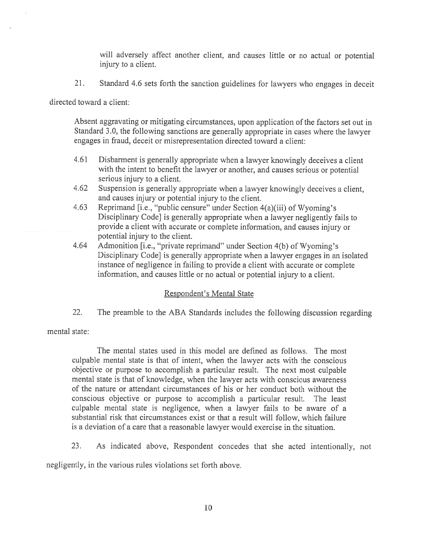will adversely affect another client, and causes little or no actual or potential injury to <sup>a</sup> client.

21. Standard 4.6 sets forth the sanction guidelines for lawyers who engages in deceit

directed toward <sup>a</sup> client:

Absent aggravating or mitigating circumstances, upon application of the factors set out in Standard 3.0, the following sanctions are generally appropriate in cases where the lawyer engages in fraud, deceit or misrepresentation directed toward <sup>a</sup> client:

- 4.61 Disbarment is generally appropriate when <sup>a</sup> lawyer knowingly deceives <sup>a</sup> client with the intent to benefit the lawyer or another, and causes serious or potential serious injury to <sup>a</sup> client.
- 4.62 Suspension is generally appropriate when <sup>a</sup> lawyer knowingly deceives <sup>a</sup> client, and causes injury or potential injury to the client.
- 4.63 Reprimand [i.e., "public censure" under Section 4(a)(iii) of Wyoming's Disciplinary Code] is generally appropriate when <sup>a</sup> lawyer negligently fails to provide <sup>a</sup> client with accurate or complete information, and causes injury or potential injury to the client.
- 4.64 Admonition [i.e., "private reprimand" under Section 4(b) of Wyoming's Disciplinary Code] is generally appropriate when <sup>a</sup> lawyer engages in an isolated instance of negligence in failing to provide <sup>a</sup> client with accurate or complete information, and causes little or no actual or potential injury to <sup>a</sup> client.

## Respondent's Mental State

22. The preamble to the ABA Standards includes the following discussion regarding

mental state:

The mental states used in this model are defined as follows. The most culpable mental state is that of intent, when the lawyer acts with the conscious objective or purpose to accomplish <sup>a</sup> particular result. The next most culpable mental state is that of knowledge, when the lawyer acts with conscious awareness of the nature or attendant circumstances of his or her conduct both without the conscious objective or purpose to accomplish <sup>a</sup> particular result. The least culpable mental state is negligence, when <sup>a</sup> lawyer fails to be aware of <sup>a</sup> substantial risk that circumstances exist or that <sup>a</sup> result will follow, which failure is <sup>a</sup> deviation of <sup>a</sup> care that <sup>a</sup> reasonable lawyer would exercise in the situation.

23. As indicated above, Respondent concedes that she acted intentionally, not

negligently, in the various rules violations set forth above.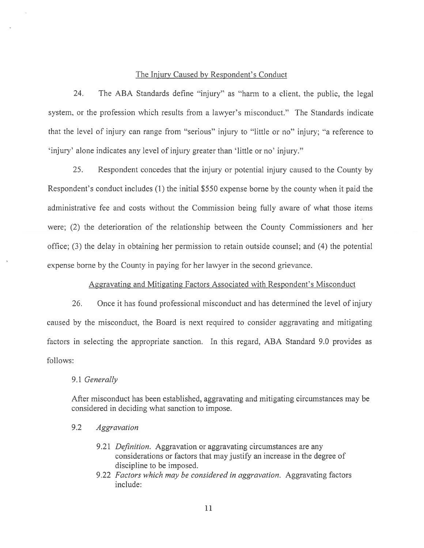#### The Injury Caused by Respondent's Conduct

24. The ABA Standards define "injury" as "harm to <sup>a</sup> client, the public, the legal system, or the profession which results from <sup>a</sup> lawyer's misconduct." The Standards indicate that the level of injury can range from "serious" injury to "little or no" injury; "a reference to 'injury' alone indicates any level of injury greater than 'little or no' injury."

25. Respondent concedes that the injury or potential injury caused to the County by Respondent's conduct includes (1) the initial \$550 expense borne by the county when it paid the administrative fee and costs without the Commission being fully aware of what those items were; (2) the deterioration of the relationship between the County Commissioners and her office; (3) the delay in obtaining her permission to retain outside counsel; and (4) the potential expense borne by the County in paying for her lawyer in the second grievance.

## Aggravating and Mitigating factors Associated with Respondent's Misconduct

26. Once it has found professional misconduct and has determined the level of injury caused by the misconduct, the Board is next required to consider aggravating and mitigating factors in selecting the appropriate sanction. In this regard, ABA Standard 9.0 provides as follows:

#### 9.1 Generally

After misconduct has been established, aggravating and mitigating circumstances may be considered in deciding what sanction to impose.

## 9.2 Aggravation

- 9.21 *Definition*. Aggravation or aggravating circumstances are any considerations or factors that may justify an increase in the degree of discipline to be imposed.
- 9.22 Factors which may be considered in aggravation. Aggravating factors include: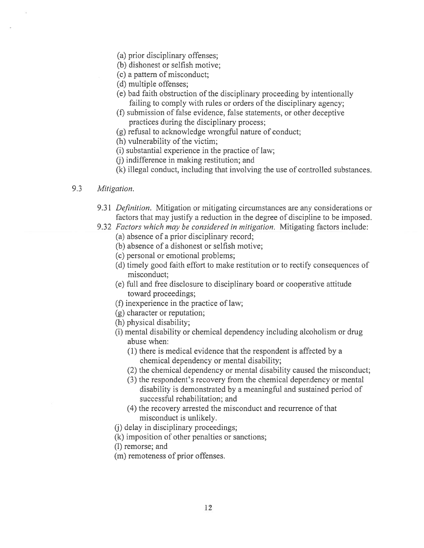- (a) prior disciplinary offenses;
- (b) dishonest or selfish motive;
- (c) <sup>a</sup> pattern of misconduct;
- (d) multiple offenses;
- (e) bad faith obstruction of the disciplinary proceeding by intentionally failing to comply with rules or orders of the disciplinary agency;
- (f) submission of false evidence, false statements, or other deceptive practices during the disciplinary process;
- (g) refusal to acknowledge wrongful nature of conduct;
- (h) vulnerability of the victim;
- (i) substantial experience in the practice of law;
- (j) indifference in making restitution; and
- (k) illegal conduct, including that involving the use of controlled substances.

### 9.3 Mitigation.

- 9.31 *Definition*. Mitigation or mitigating circumstances are any considerations or factors that may justify <sup>a</sup> reduction in the degree of discipline to be imposed.
- 9.32 Factors which may be considered in mitigation. Mitigating factors include:
	- (a) absence of <sup>a</sup> prior disciplinary record;
	- (b) absence of <sup>a</sup> dishonest or selfish motive;
	- (c) personal or emotional problems;
	- (d) timely good faith effort to make restitution or to rectify consequences of misconduct;
	- (e) full and free disclosure to disciplinary board or cooperative attitude toward proceedings;
	- (f) inexperience in the practice of law;
	- (g) character or reputation;
	- (h) physical disability;
	- (i) mental disability or chemical dependency including alcoholism or drug abuse when:
		- (1) there is medical evidence that the respondent is affected by <sup>a</sup> chemical dependency or mental disability;
		- (2) the chemical dependency or mental disability caused the misconduct;
		- (3) the respondent's recovery from the chemical dependency or mental disability is demonstrated by <sup>a</sup> meaningful and sustained period of successful rehabilitation; and
		- (4) the recovery arrested the misconduct and recurrence of that misconduct is unlikely.
	- (j) delay in disciplinary proceedings;
	- (k) imposition of other penalties or sanctions;
	- (1) remorse; and
	- (m) remoteness of prior offenses.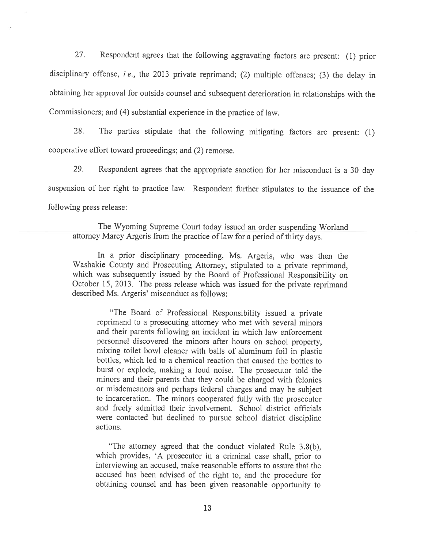27. Respondent agrees that the following aggravating factors are present: (1) prior disciplinary offense, *i.e.*, the 2013 private reprimand; (2) multiple offenses; (3) the delay in obtaining her approva<sup>l</sup> for outside counsel and subsequent deterioration in relationships with the Commissioners; and (4) substantial experience in the practice of law.

28. The parties stipulate that the following mitigating factors are present: (1) cooperative effort toward proceedings; and (2) remorse.

29. Respondent agrees that the appropriate sanction for her misconduct is <sup>a</sup> <sup>30</sup> day suspension of her right to practice law. Respondent further stipulates to the issuance of the following press release:

The Wyoming Supreme Court today issued an order suspending Worland attorney Marcy Argeris from the practice of law for <sup>a</sup> period of thirty days.

In <sup>a</sup> prior disciplinary proceeding, Ms. Argeris, who was then the Washakie County and Prosecuting Attorney, stipulated to <sup>a</sup> private reprimand, which was subsequently issued by the Board of Professional Responsibility on October 15, 2013. The press release which was issued for the private reprimand described Ms. Argeris' misconduct as follows:

"The Board of Professional Responsibility issued <sup>a</sup> private reprimand to <sup>a</sup> prosecuting attorney who met with several minors and their parents following an incident in which law enforcement personne<sup>l</sup> discovered the minors after hours on school property, mixing toilet bowl cleaner with balls of aluminum foil in <sup>p</sup>lastic bottles, which led to <sup>a</sup> chemical reaction that caused the bottles to burst or explode, making <sup>a</sup> loud noise. The prosecutor told the minors and their parents that they could be charged with felonies or misdemeanors and perhaps federal charges and may be subject to incarceration. The minors cooperated fully with the prosecutor and freely admitted their involvement. School district officials were contacted but declined to pursue school district discipline actions.

"The attorney agreed that the conduct violated Rule 3.8(b), which provides, 'A prosecutor in <sup>a</sup> criminal case shall, prior to interviewing an accused, make reasonable efforts to assure that the accused has been advised of the right to, and the procedure for obtaining counsel and has been <sup>g</sup>iven reasonable opportunity to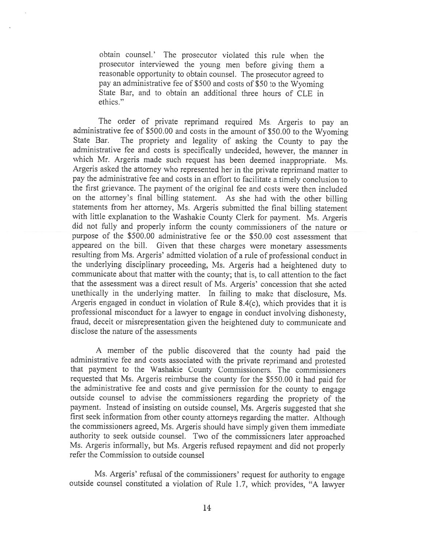obtain counsel.' The prosecutor violated this rule when the prosecutor interviewed the young men before <sup>g</sup>iving them <sup>a</sup> reasonable opportunity to obtain counsel. The prosecutor agreed to pay an administrative fee of \$500 and costs of \$50 to the Wyoming State Bar. and to obtain an additional three hours of CLE in ethics."

The order of private reprimand required Ms. Argeris to pay an administrative fee of \$500.00 and costs in the amount of \$50.00 to the Wyoming<br>State Bar. The propriety and legality of asking the County to pay the The propriety and legality of asking the County to pay the administrative fee and costs is specifically undecided, however, the manner in which Mr. Argeris made such request has been deemed inappropriate. Ms. Argeris asked the attorney who represented her in the private reprimand matter to pay the administrative fee and costs in an effort to facilitate <sup>a</sup> timely conclusion to the first grievance. The payment of the original fee and costs were then included on the attorney's final billing statement. As she had with the other billing statements from her attorney, Ms. Argeris submitted the final billing statement with little explanation to the Washakie County Clerk for payment. Ms. Argeris did not fully and properly inform the county commissioners of the nature or purpose of the \$500.00 administrative fee or the \$50.00 cost assessment that appeared on the bill. Given that these charges were monetary assessments resulting from Ms. Argeris' admitted violation of <sup>a</sup> rule of professional conduct in the underlying disciplinary proceeding, Ms. Argeris had <sup>a</sup> heightened duty to communicate about that matter with the county; that is, to call attention to the fact that the assessment was <sup>a</sup> direct result of Ms. Argeris' concession that she acted unethically in the underlying matter. In failing to make that disclosure, Ms. Argeris engaged in conduct in violation of Rule 8.4(c), which provides that it is professional misconduct for <sup>a</sup> lawyer to engage in conduct involving dishonesty, fraud, deceit or misrepresentation <sup>g</sup>iven the heightened duty to communicate and disclose the nature of the assessments

<sup>A</sup> member of the public discovered that the county had paid the administrative fee and costs associated with the private reprimand and protested that payment to the Washakie County Commissioners. The commissioners requested that Ms. Argeris reimburse the county for the \$550.00 it had paid for the administrative fee and costs and <sup>g</sup>ive permission for the county to engage outside counsel to advise the commissioners regarding the propriety of the payment. Instead of insisting on outside counsel, Ms. Argeris suggested that she first seek information from other county attorneys regarding the matter. Although the commissioners agreed, Ms. Argeris should have simply <sup>g</sup>iven them immediate authority to seek outside counsel. Two of the commissioners later approached Ms. Argeris informally, but Ms. Argeris refused repayment and did not properly refer the Commission to outside counsel

Ms. Argeris' refusal of the commissioners' request for authority to engage outside counsel constituted <sup>a</sup> violation of Rule 1.7, which provides, "A lawyer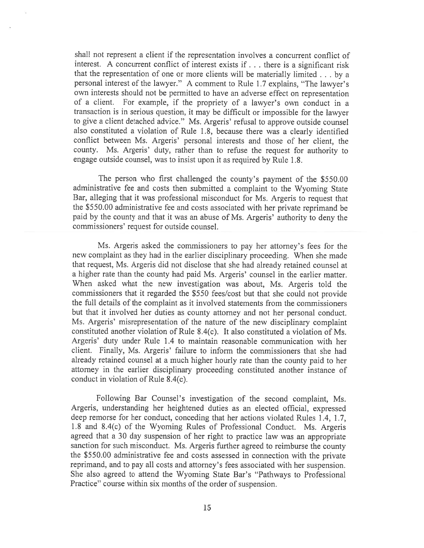shall not represen<sup>t</sup> <sup>a</sup> client if the representation involves <sup>a</sup> concurrent conflict of interest. <sup>A</sup> concurrent conflict of interest exists if. . . there is <sup>a</sup> significant risk that the representation of one or more clients will be materially limited . . . by <sup>a</sup> persona<sup>l</sup> interest of the lawyer." <sup>A</sup> comment to Rule 1.7 explains, "The lawyer's own interests should not be permitted to have an adverse effect on representation of <sup>a</sup> client. For example, if the propriety of <sup>a</sup> lawyer's own conduct in <sup>a</sup> transaction is in serious question, it may be difficult or impossible for the lawyer to <sup>g</sup>ive <sup>a</sup> client detached advice." Ms. Argeris' refusal to approve outside counsel also constituted <sup>a</sup> violation of Rule 1.8, because there was <sup>a</sup> clearly identified conflict between Ms. Argeris' personal interests and those of her client, the county. Ms. Argeris' duty, rather than to refuse the reques<sup>t</sup> for authority to engage outside counsel, was to insist upon it as required by Rule 1.8.

The person who first challenged the county's paymen<sup>t</sup> of the \$550.00 administrative fee and costs then submitted <sup>a</sup> complaint to the Wyoming State Bar, alleging that it was professional misconduct for Ms. Argeris to reques<sup>t</sup> that the \$550.00 administrative fee and costs associated with her private reprimand be paid by the county and that it was an abuse of Ms. Argeris' authority to deny the commissioners' reques<sup>t</sup> for outside counsel.

Ms. Argeris asked the commissioners to pay her attorney's fees for the new complaint as they had in the earlier disciplinary proceeding. When she made that request, Ms. Argeris did not disclose that she had already retained counsel at <sup>a</sup> higher rate than the county had paid Ms. Argeris' counsel in the earlier matter. When asked what the new investigation was about, Ms. Argeris told the commissioners that it regarded the \$550 fees/cost but that she could not provide the full details of the complaint as it involved statements from the commissioners but that it involved her duties as county attorney and not her persona<sup>l</sup> conduct. Ms. Argeris' misrepresentation of the nature of the new disciplinary complaint constituted another violation of Rule 8.4(c). It also constituted <sup>a</sup> violation of Ms. Argeris' duty under Rule 1.4 to maintain reasonable communication with her client. Finally, Ms. Argeris' failure to inform the commissioners that she had already retained counsel at <sup>a</sup> much higher hourly rate than the county paid to her attorney in the earlier disciplinary proceeding constituted another instance of conduct in violation of Rule 8.4(c).

Following Bar Counsel's investigation of the second complaint, Ms. Argeris, understanding her heightened duties as an elected official, expresse<sup>d</sup> deep remorse for her conduct, conceding that her actions violated Rules 1.4, 1.7, 1.8 and 8.4(c) of the Wyoming Rules of Professional Conduct. Ms. Argeris agree<sup>d</sup> that <sup>a</sup> <sup>30</sup> day suspension of her right to practice law was an appropriate sanction for such misconduct. Ms. Argeris further agree<sup>d</sup> to reimburse the county the \$550.00 administrative fee and costs assessed in connection with the private reprimand, and to pay all costs and attorney's fees associated with her suspension. She also agreed to attend the Wyoming State Bar's "Pathways to Professional Practice" course within six months of the order of suspension.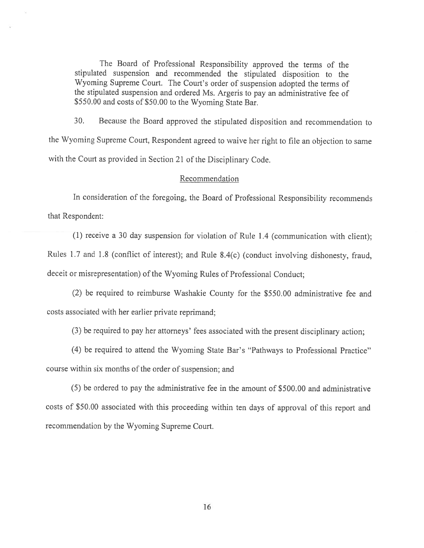The Board of Professional Responsibility approved the terms of the stipulated suspension and recommended the stipulated disposition to the Wyoming Supreme Court. The Court's order of suspension adopted the terms of the stipulated suspension and ordered Ms. Argeris to pay an administrative fee of \$550.00 and costs of \$50.00 to the Wyoming State Bar.

30. Because the Board approved the stipulated disposition and recommendation to the Wyoming Supreme Court, Respondent agreed to waive her right to file an objection to same with the Court as provided in Section <sup>21</sup> of the Disciplinary Code.

#### Recommendation

In consideration of the foregoing, the Board of Professional Responsibility recommends that Respondent:

(1) receive <sup>a</sup> <sup>30</sup> day suspension for violation of Rule 1.4 (communication with client); Rules 1.7 and 1.8 (conflict of interest); and Rule 8.4(c) (conduct involving dishonesty, fraud, deceit or misrepresentation) of the Wyoming Rules of Professional Conduct;

(2) be required to reimburse Washakie County for the \$550.00 administrative fee and costs associated with her earlier private reprimand;

(3) be required to pay her attorneys' fees associated with the present disciplinary action;

(4) be required to attend the Wyoming State Bar's "Pathways to Professional Practice" course within six months of the order of suspension; and

(5) be ordered to pay the administrative fee in the amount of \$500.00 and administrative costs of \$50.00 associated with this proceeding within ten days of approval of this report and recommendation by the Wyoming Supreme Court.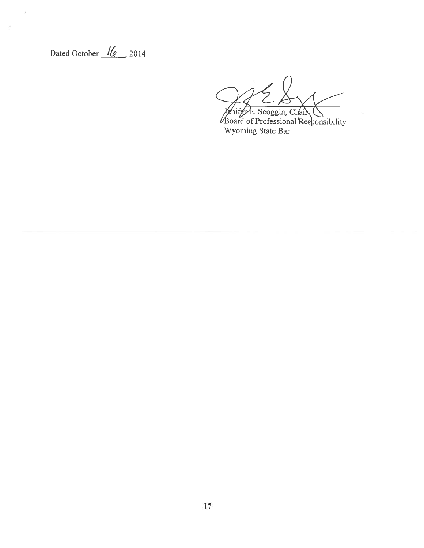Dated October (**10** . 2014

oard of Professional Responsibility Wyoming State Bar